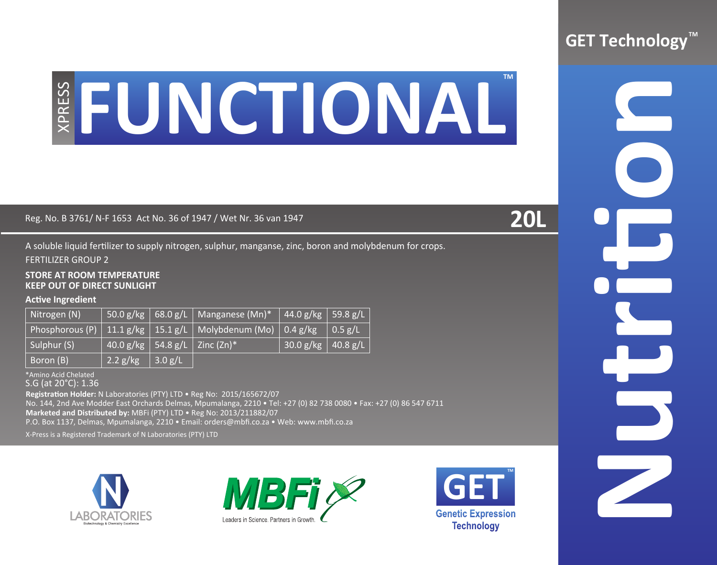# **Reg. No. B 3761/ N-F 1653 Act No. 36 of 1947 / Wet Nr. 36 van 1947**<br>Reg. No. B 3761/ N-F 1653 Act No. 36 of 1947 / Wet Nr. 36 van 1947 **20L**

A soluble liquid fertilizer to supply nitrogen, sulphur, manganse, zinc, boron and molybdenum for crops. FERTILIZER GROUP 2

### **STORE AT ROOM TEMPERATURE KEEP OUT OF DIRECT SUNLIGHT**

# **Active Ingredient**

| Nitrogen (N) |                         | 50.0 g/kg   68.0 g/L   Manganese (Mn)*   44.0 g/kg   59.8 g/L                 |                      |  |
|--------------|-------------------------|-------------------------------------------------------------------------------|----------------------|--|
|              |                         | Phosphorous (P)   11.1 g/kg   15.1 g/L   Molybdenum (Mo)   0.4 g/kg   0.5 g/L |                      |  |
| Sulphur (S)  |                         | $140.0$ g/kg   54.8 g/L   Zinc (Zn)*                                          | $30.0 g/kg$ 40.8 g/L |  |
| Boron (B)    | 2.2 g/kg $\int$ 3.0 g/L |                                                                               |                      |  |

\*Amino Acid Chelated

S.G (at 20°C): 1.36

**Registration Holder:** N Laboratories (PTY) LTD • Reg No: 2015/165672/07

No. 144, 2nd Ave Modder East Orchards Delmas, Mpumalanga, 2210 • Tel: +27 (0) 82 738 0080 • Fax: +27 (0) 86 547 6711

**Marketed and Distributed by:** MBFi (PTY) LTD • Reg No: 2013/211882/07

P.O. Box 1137, Delmas, Mpumalanga, 2210 • Email: orders@mbfi.co.za • Web: www.mbfi.co.za

X-Press is a Registered Trademark of N Laboratories (PTY) LTD









**Nutrition**

D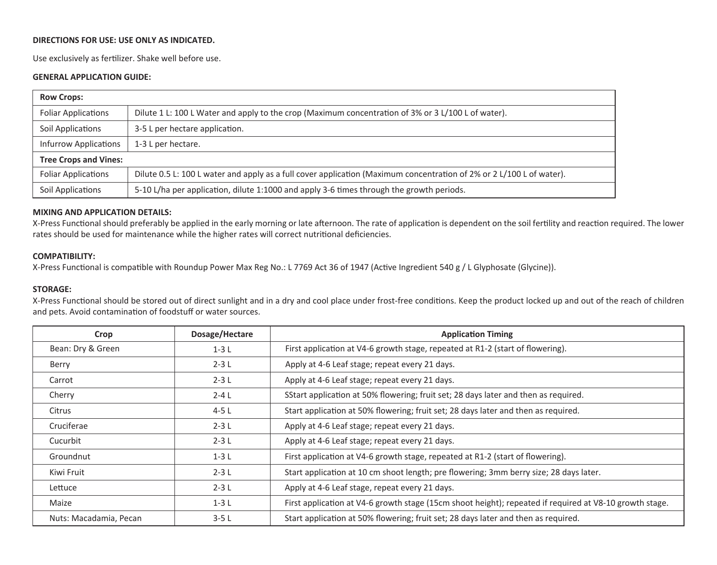# **DIRECTIONS FOR USE: USE ONLY AS INDICATED.**

Use exclusively as fertilizer. Shake well before use.

## **GENERAL APPLICATION GUIDE:**

| <b>Row Crops:</b>            |                                                                                                                      |  |  |  |
|------------------------------|----------------------------------------------------------------------------------------------------------------------|--|--|--|
| <b>Foliar Applications</b>   | Dilute 1 L: 100 L Water and apply to the crop (Maximum concentration of 3% or 3 L/100 L of water).                   |  |  |  |
| Soil Applications            | 3-5 L per hectare application.                                                                                       |  |  |  |
| <b>Infurrow Applications</b> | 1-3 L per hectare.                                                                                                   |  |  |  |
| <b>Tree Crops and Vines:</b> |                                                                                                                      |  |  |  |
| <b>Foliar Applications</b>   | Dilute 0.5 L: 100 L water and apply as a full cover application (Maximum concentration of 2% or 2 L/100 L of water). |  |  |  |
| Soil Applications            | 5-10 L/ha per application, dilute 1:1000 and apply 3-6 times through the growth periods.                             |  |  |  |

### **MIXING AND APPLICATION DETAILS:**

X-Press Functional should preferably be applied in the early morning or late afternoon. The rate of application is dependent on the soil fertility and reaction required. The lower rates should be used for maintenance while the higher rates will correct nutritional deficiencies.

### **COMPATIBILITY:**

X-Press Functional is compatible with Roundup Power Max Reg No.: L 7769 Act 36 of 1947 (Active Ingredient 540 g / L Glyphosate (Glycine)).

### **STORAGE:**

X-Press Functional should be stored out of direct sunlight and in a dry and cool place under frost-free conditions. Keep the product locked up and out of the reach of children and pets. Avoid contamination of foodstuff or water sources.

| Crop                   | Dosage/Hectare | <b>Application Timing</b>                                                                               |
|------------------------|----------------|---------------------------------------------------------------------------------------------------------|
| Bean: Dry & Green      | $1-3L$         | First application at V4-6 growth stage, repeated at R1-2 (start of flowering).                          |
| Berry                  | $2-3L$         | Apply at 4-6 Leaf stage; repeat every 21 days.                                                          |
| Carrot                 | $2-3L$         | Apply at 4-6 Leaf stage; repeat every 21 days.                                                          |
| Cherry                 | $2 - 4$ L      | SStart application at 50% flowering; fruit set; 28 days later and then as required.                     |
| Citrus                 | $4-5L$         | Start application at 50% flowering; fruit set; 28 days later and then as required.                      |
| Cruciferae             | $2-3L$         | Apply at 4-6 Leaf stage; repeat every 21 days.                                                          |
| Cucurbit               | $2-3L$         | Apply at 4-6 Leaf stage; repeat every 21 days.                                                          |
| Groundnut              | $1-3L$         | First application at V4-6 growth stage, repeated at R1-2 (start of flowering).                          |
| Kiwi Fruit             | $2-3L$         | Start application at 10 cm shoot length; pre flowering; 3mm berry size; 28 days later.                  |
| Lettuce                | $2-3L$         | Apply at 4-6 Leaf stage, repeat every 21 days.                                                          |
| Maize                  | $1-3L$         | First application at V4-6 growth stage (15cm shoot height); repeated if required at V8-10 growth stage. |
| Nuts: Macadamia, Pecan | $3-5L$         | Start application at 50% flowering; fruit set; 28 days later and then as required.                      |